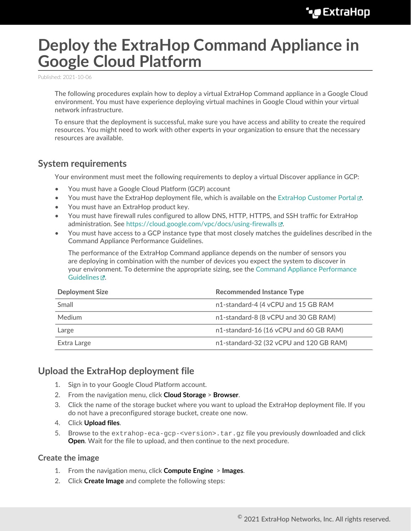# **Deploy the ExtraHop Command Appliance in Google Cloud Platform**

Published: 2021-10-06

The following procedures explain how to deploy a virtual ExtraHop Command appliance in a Google Cloud environment. You must have experience deploying virtual machines in Google Cloud within your virtual network infrastructure.

To ensure that the deployment is successful, make sure you have access and ability to create the required resources. You might need to work with other experts in your organization to ensure that the necessary resources are available.

### <span id="page-0-0"></span>**System requirements**

Your environment must meet the following requirements to deploy a virtual Discover appliance in GCP:

- You must have a Google Cloud Platform (GCP) account
- You must have the ExtraHop deployment file, which is available on the [ExtraHop Customer Portal](https://customers.extrahop.com/downloads/virtual-appliances/)  $\mathbb{Z}$ .
- You must have an ExtraHop product key.
- You must have firewall rules configured to allow DNS, HTTP, HTTPS, and SSH traffic for ExtraHop administration. See<https://cloud.google.com/vpc/docs/using-firewalls>...
- You must have access to a GCP instance type that most closely matches the guidelines described in the Command Appliance Performance Guidelines.

The performance of the ExtraHop Command appliance depends on the number of sensors you are deploying in combination with the number of devices you expect the system to discover in your environment. To determine the appropriate sizing, see the [Command Appliance Performance](https://docs.extrahop.com/8.7/customers/eca-guidelines) [Guidelines](https://docs.extrahop.com/8.7/customers/eca-guidelines) **...** 

| <b>Deployment Size</b> | <b>Recommended Instance Type</b>        |
|------------------------|-----------------------------------------|
| Small                  | n1-standard-4 (4 vCPU and 15 GB RAM     |
| Medium                 | n1-standard-8 (8 vCPU and 30 GB RAM)    |
| Large                  | n1-standard-16 (16 vCPU and 60 GB RAM)  |
| Extra Large            | n1-standard-32 (32 vCPU and 120 GB RAM) |

## **Upload the ExtraHop deployment file**

- 1. Sign in to your Google Cloud Platform account.
- 2. From the navigation menu, click **Cloud Storage** > **Browser**.
- 3. Click the name of the storage bucket where you want to upload the ExtraHop deployment file. If you do not have a preconfigured storage bucket, create one now.
- 4. Click **Upload files**.
- 5. Browse to the extrahop-eca-gcp-<version>.tar.gz file you previously downloaded and click **Open**. Wait for the file to upload, and then continue to the next procedure.

### **Create the image**

- 1. From the navigation menu, click **Compute Engine** > **Images**.
- 2. Click **Create Image** and complete the following steps: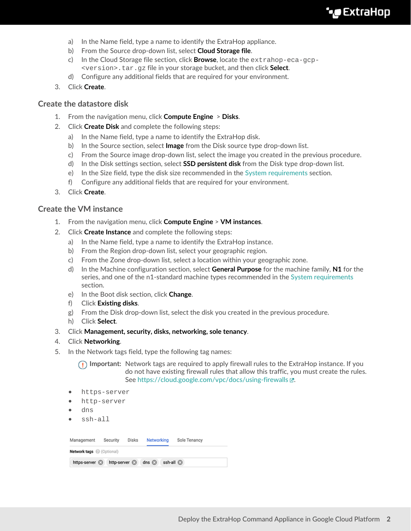# **∙.e** ExtraHop

- a) In the Name field, type a name to identify the ExtraHop appliance.
- b) From the Source drop-down list, select **Cloud Storage file**.
- c) In the Cloud Storage file section, click **Browse**, locate the extrahop-eca-gcp- <version>.tar.gz file in your storage bucket, and then click **Select**.
- d) Configure any additional fields that are required for your environment.
- 3. Click **Create**.

### **Create the datastore disk**

- 1. From the navigation menu, click **Compute Engine** > **Disks**.
- 2. Click **Create Disk** and complete the following steps:
	- a) In the Name field, type a name to identify the ExtraHop disk.
	- b) In the Source section, select **Image** from the Disk source type drop-down list.
	- c) From the Source image drop-down list, select the image you created in the previous procedure.
	- d) In the Disk settings section, select **SSD persistent disk** from the Disk type drop-down list.
	- e) In the Size field, type the disk size recommended in the [System requirements](#page-0-0) section.
	- f) Configure any additional fields that are required for your environment.
- 3. Click **Create**.

### **Create the VM instance**

- 1. From the navigation menu, click **Compute Engine** > **VM instances**.
- 2. Click **Create Instance** and complete the following steps:
	- a) In the Name field, type a name to identify the ExtraHop instance.
	- b) From the Region drop-down list, select your geographic region.
	- c) From the Zone drop-down list, select a location within your geographic zone.
	- d) In the Machine configuration section, select **General Purpose** for the machine family, **N1** for the series, and one of the n1-standard machine types recommended in the [System requirements](#page-0-0) section.
	- e) In the Boot disk section, click **Change**.
	- f) Click **Existing disks**.
	- g) From the Disk drop-down list, select the disk you created in the previous procedure.
	- h) Click **Select**.
- 3. Click **Management, security, disks, networking, sole tenancy**.
- 4. Click **Networking**.
- 5. In the Network tags field, type the following tag names:

**Important:** Network tags are required to apply firewall rules to the ExtraHop instance. If you do not have existing firewall rules that allow this traffic, you must create the rules. See<https://cloud.google.com/vpc/docs/using-firewalls>...

- https-server
- http-server
- dns
- ssh-all